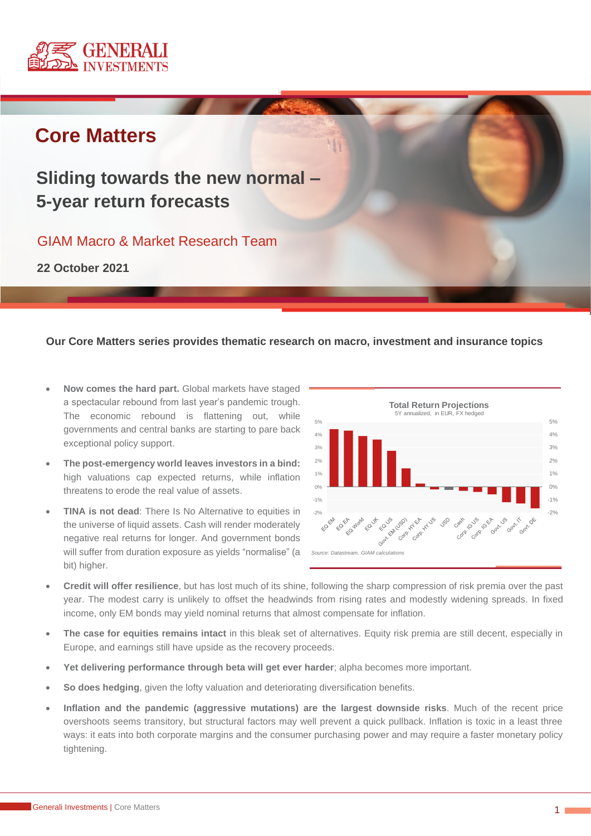

# **Core Matters**

# **Sliding towards the new normal – 5-year return forecasts**

# GIAM Macro & Market Research Team

**22 October 2021**

#### **Our Core Matters series provides thematic research on macro, investment and insurance topics**

- **Now comes the hard part.** Global markets have staged a spectacular rebound from last year's pandemic trough. The economic rebound is flattening out, while governments and central banks are starting to pare back exceptional policy support.
- **The post-emergency world leaves investors in a bind:** high valuations cap expected returns, while inflation threatens to erode the real value of assets.
- **TINA is not dead:** There Is No Alternative to equities in the universe of liquid assets. Cash will render moderately negative real returns for longer. And government bonds will suffer from duration exposure as yields "normalise" (a bit) higher.



- **Credit will offer resilience**, but has lost much of its shine, following the sharp compression of risk premia over the past year. The modest carry is unlikely to offset the headwinds from rising rates and modestly widening spreads. In fixed income, only EM bonds may yield nominal returns that almost compensate for inflation.
- **The case for equities remains intact** in this bleak set of alternatives. Equity risk premia are still decent, especially in Europe, and earnings still have upside as the recovery proceeds.
- **Yet delivering performance through beta will get ever harder**; alpha becomes more important.
- **So does hedging**, given the lofty valuation and deteriorating diversification benefits.
- **Inflation and the pandemic (aggressive mutations) are the largest downside risks**. Much of the recent price overshoots seems transitory, but structural factors may well prevent a quick pullback. Inflation is toxic in a least three ways: it eats into both corporate margins and the consumer purchasing power and may require a faster monetary policy tightening.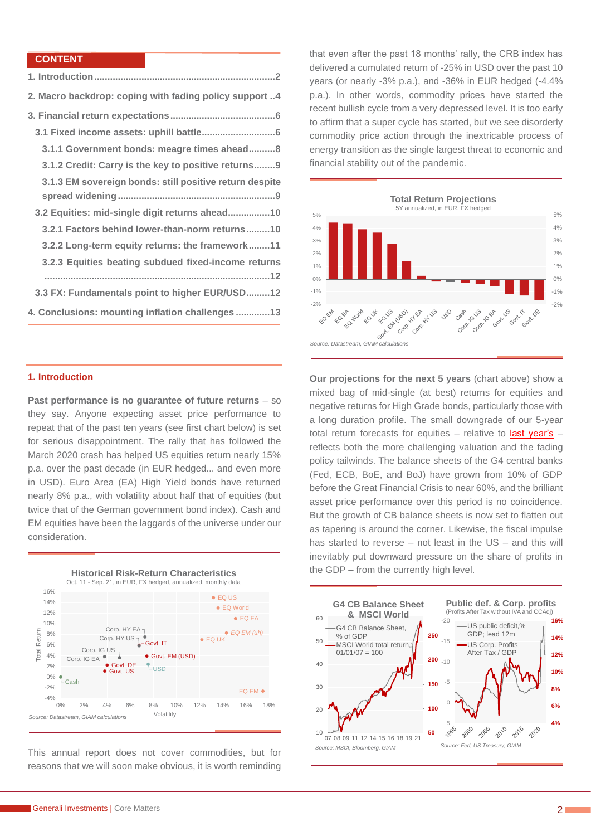#### **CONTENT**

| 2. Macro backdrop: coping with fading policy support 4  |
|---------------------------------------------------------|
|                                                         |
|                                                         |
| 3.1.1 Government bonds: meagre times ahead8             |
| 3.1.2 Credit: Carry is the key to positive returns9     |
| 3.1.3 EM sovereign bonds: still positive return despite |
|                                                         |
| 3.2 Equities: mid-single digit returns ahead10          |
| 3.2.1 Factors behind lower-than-norm returns10          |
| 3.2.2 Long-term equity returns: the framework11         |
| 3.2.3 Equities beating subdued fixed-income returns     |
|                                                         |
| 3.3 FX: Fundamentals point to higher EUR/USD12          |
| 4. Conclusions: mounting inflation challenges 13        |

#### <span id="page-1-0"></span>**1. Introduction**

**Past performance is no guarantee of future returns** – so they say. Anyone expecting asset price performance to repeat that of the past ten years (see first chart below) is set for serious disappointment. The rally that has followed the March 2020 crash has helped US equities return nearly 15% p.a. over the past decade (in EUR hedged... and even more in USD). Euro Area (EA) High Yield bonds have returned nearly 8% p.a., with volatility about half that of equities (but twice that of the German government bond index). Cash and EM equities have been the laggards of the universe under our consideration.



This annual report does not cover commodities, but for reasons that we will soon make obvious, it is worth reminding

that even after the past 18 months' rally, the CRB index has delivered a cumulated return of -25% in USD over the past 10 years (or nearly -3% p.a.), and -36% in EUR hedged (-4.4% p.a.). In other words, commodity prices have started the recent bullish cycle from a very depressed level. It is too early to affirm that a super cycle has started, but we see disorderly commodity price action through the inextricable process of energy transition as the single largest threat to economic and financial stability out of the pandemic.



**Our projections for the next 5 years** (chart above) show a mixed bag of mid-single (at best) returns for equities and negative returns for High Grade bonds, particularly those with a long duration profile. The small downgrade of our 5-year total return forecasts for equities  $-$  relative to [last year's](https://www.generali-investments.com/global/en/institutional/article/life-after-covid-5-year-total-return-forecasts/)  $$ reflects both the more challenging valuation and the fading policy tailwinds. The balance sheets of the G4 central banks (Fed, ECB, BoE, and BoJ) have grown from 10% of GDP before the Great Financial Crisis to near 60%, and the brilliant asset price performance over this period is no coincidence. But the growth of CB balance sheets is now set to flatten out as tapering is around the corner. Likewise, the fiscal impulse has started to reverse – not least in the US – and this will inevitably put downward pressure on the share of profits in the GDP – from the currently high level.

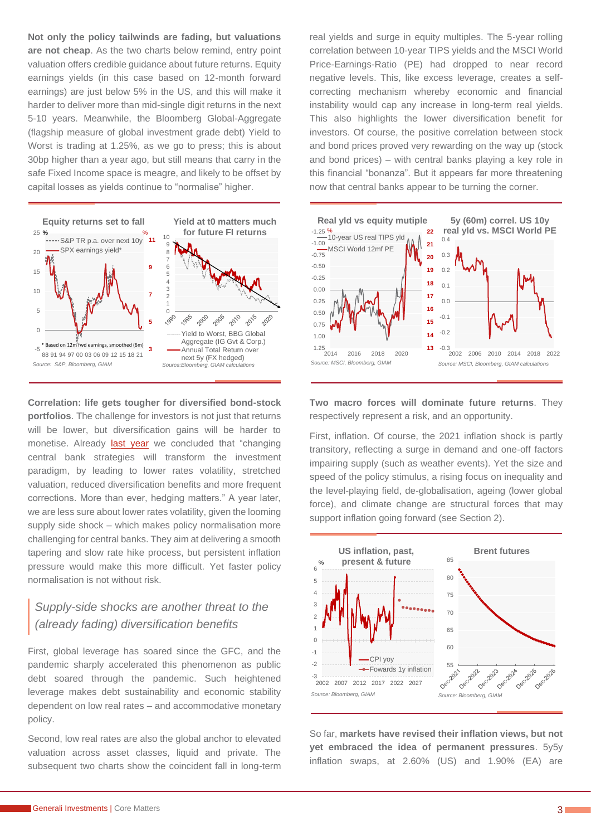**Not only the policy tailwinds are fading, but valuations are not cheap**. As the two charts below remind, entry point valuation offers credible guidance about future returns. Equity earnings yields (in this case based on 12-month forward earnings) are just below 5% in the US, and this will make it harder to deliver more than mid-single digit returns in the next 5-10 years. Meanwhile, the Bloomberg Global-Aggregate (flagship measure of global investment grade debt) Yield to Worst is trading at 1.25%, as we go to press; this is about 30bp higher than a year ago, but still means that carry in the safe Fixed Income space is meagre, and likely to be offset by capital losses as yields continue to "normalise" higher.



**Correlation: life gets tougher for diversified bond-stock portfolios**. The challenge for investors is not just that returns will be lower, but diversification gains will be harder to monetise. Already [last year](https://www.generali-investments.com/global/en/institutional/article/life-after-covid-5-year-total-return-forecasts/) we concluded that "changing" central bank strategies will transform the investment paradigm, by leading to lower rates volatility, stretched valuation, reduced diversification benefits and more frequent corrections. More than ever, hedging matters." A year later, we are less sure about lower rates volatility, given the looming supply side shock – which makes policy normalisation more challenging for central banks. They aim at delivering a smooth tapering and slow rate hike process, but persistent inflation pressure would make this more difficult. Yet faster policy normalisation is not without risk.

### *Supply-side shocks are another threat to the (already fading) diversification benefits*

First, global leverage has soared since the GFC, and the pandemic sharply accelerated this phenomenon as public debt soared through the pandemic. Such heightened leverage makes debt sustainability and economic stability dependent on low real rates – and accommodative monetary policy.

Second, low real rates are also the global anchor to elevated valuation across asset classes, liquid and private. The subsequent two charts show the coincident fall in long-term real yields and surge in equity multiples. The 5-year rolling correlation between 10-year TIPS yields and the MSCI World Price-Earnings-Ratio (PE) had dropped to near record negative levels. This, like excess leverage, creates a selfcorrecting mechanism whereby economic and financial instability would cap any increase in long-term real yields. This also highlights the lower diversification benefit for investors. Of course, the positive correlation between stock and bond prices proved very rewarding on the way up (stock and bond prices) – with central banks playing a key role in this financial "bonanza". But it appears far more threatening now that central banks appear to be turning the corner.



**Two macro forces will dominate future returns**. They respectively represent a risk, and an opportunity.

First, inflation. Of course, the 2021 inflation shock is partly transitory, reflecting a surge in demand and one-off factors impairing supply (such as weather events). Yet the size and speed of the policy stimulus, a rising focus on inequality and the level-playing field, de-globalisation, ageing (lower global force), and climate change are structural forces that may support inflation going forward (see Section 2).



So far, **markets have revised their inflation views, but not yet embraced the idea of permanent pressures**. 5y5y inflation swaps, at 2.60% (US) and 1.90% (EA) are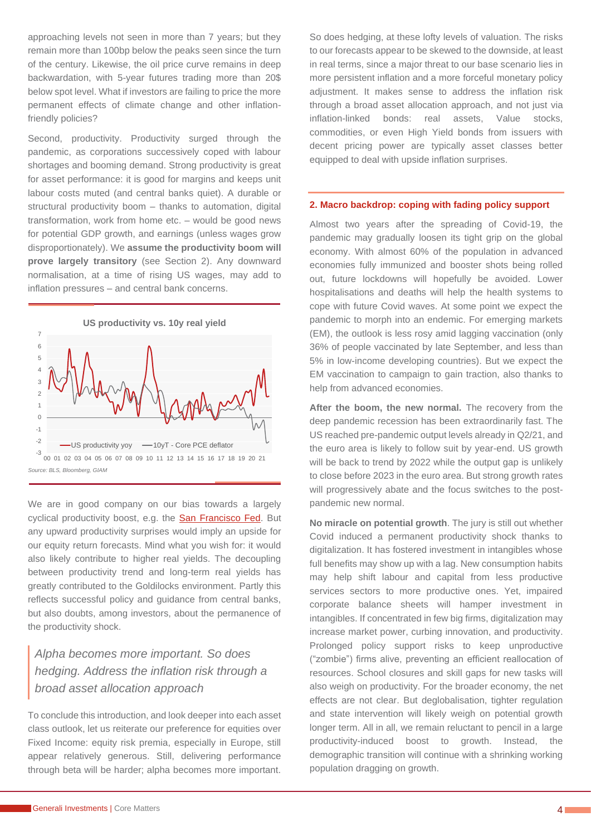approaching levels not seen in more than 7 years; but they remain more than 100bp below the peaks seen since the turn of the century. Likewise, the oil price curve remains in deep backwardation, with 5-year futures trading more than 20\$ below spot level. What if investors are failing to price the more permanent effects of climate change and other inflationfriendly policies?

Second, productivity. Productivity surged through the pandemic, as corporations successively coped with labour shortages and booming demand. Strong productivity is great for asset performance: it is good for margins and keeps unit labour costs muted (and central banks quiet). A durable or structural productivity boom – thanks to automation, digital transformation, work from home etc. – would be good news for potential GDP growth, and earnings (unless wages grow disproportionately). We **assume the productivity boom will prove largely transitory** (see Section 2). Any downward normalisation, at a time of rising US wages, may add to inflation pressures – and central bank concerns.



We are in good company on our bias towards a largely cyclical productivity boost, e.g. the [San Francisco Fed.](https://www.frbsf.org/economic-research/publications/economic-letter/2021/august/labor-productivity-in-pandemic/?mod=djemCentralBanksPro&tpl=cb) But any upward productivity surprises would imply an upside for our equity return forecasts. Mind what you wish for: it would also likely contribute to higher real yields. The decoupling between productivity trend and long-term real yields has greatly contributed to the Goldilocks environment. Partly this reflects successful policy and guidance from central banks, but also doubts, among investors, about the permanence of the productivity shock.

# *Alpha becomes more important. So does hedging. Address the inflation risk through a broad asset allocation approach*

To conclude this introduction, and look deeper into each asset class outlook, let us reiterate our preference for equities over Fixed Income: equity risk premia, especially in Europe, still appear relatively generous. Still, delivering performance through beta will be harder; alpha becomes more important.

So does hedging, at these lofty levels of valuation. The risks to our forecasts appear to be skewed to the downside, at least in real terms, since a major threat to our base scenario lies in more persistent inflation and a more forceful monetary policy adjustment. It makes sense to address the inflation risk through a broad asset allocation approach, and not just via inflation-linked bonds: real assets, Value stocks, commodities, or even High Yield bonds from issuers with decent pricing power are typically asset classes better equipped to deal with upside inflation surprises.

#### <span id="page-3-0"></span>**2. Macro backdrop: coping with fading policy support**

Almost two years after the spreading of Covid-19, the pandemic may gradually loosen its tight grip on the global economy. With almost 60% of the population in advanced economies fully immunized and booster shots being rolled out, future lockdowns will hopefully be avoided. Lower hospitalisations and deaths will help the health systems to cope with future Covid waves. At some point we expect the pandemic to morph into an endemic. For emerging markets (EM), the outlook is less rosy amid lagging vaccination (only 36% of people vaccinated by late September, and less than 5% in low-income developing countries). But we expect the EM vaccination to campaign to gain traction, also thanks to help from advanced economies.

After the boom, the new normal. The recovery from the deep pandemic recession has been extraordinarily fast. The US reached pre-pandemic output levels already in Q2/21, and the euro area is likely to follow suit by year-end. US growth will be back to trend by 2022 while the output gap is unlikely to close before 2023 in the euro area. But strong growth rates will progressively abate and the focus switches to the postpandemic new normal.

**No miracle on potential growth**. The jury is still out whether Covid induced a permanent productivity shock thanks to digitalization. It has fostered investment in intangibles whose full benefits may show up with a lag. New consumption habits may help shift labour and capital from less productive services sectors to more productive ones. Yet, impaired corporate balance sheets will hamper investment in intangibles. If concentrated in few big firms, digitalization may increase market power, curbing innovation, and productivity. Prolonged policy support risks to keep unproductive ("zombie") firms alive, preventing an efficient reallocation of resources. School closures and skill gaps for new tasks will also weigh on productivity. For the broader economy, the net effects are not clear. But deglobalisation, tighter regulation and state intervention will likely weigh on potential growth longer term. All in all, we remain reluctant to pencil in a large productivity-induced boost to growth. Instead, the demographic transition will continue with a shrinking working population dragging on growth.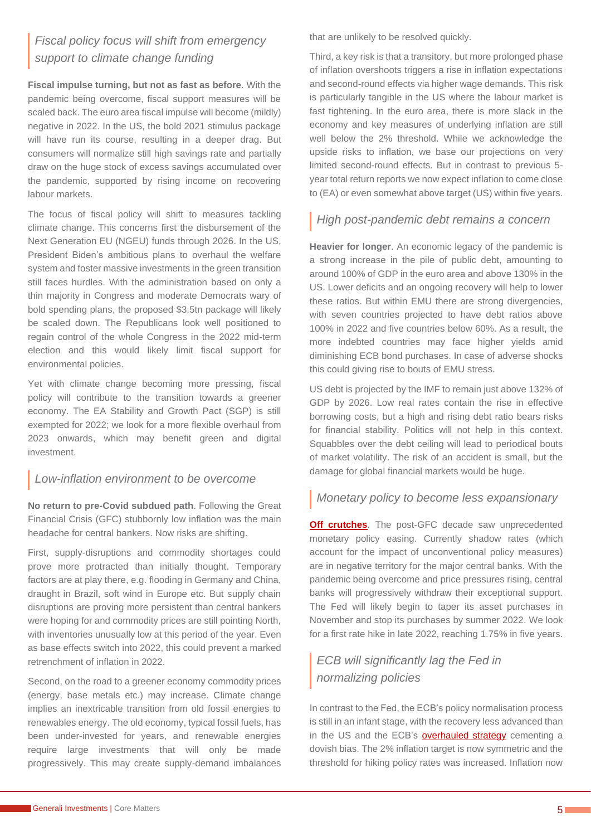# *Fiscal policy focus will shift from emergency support to climate change funding*

**Fiscal impulse turning, but not as fast as before**. With the pandemic being overcome, fiscal support measures will be scaled back. The euro area fiscal impulse will become (mildly) negative in 2022. In the US, the bold 2021 stimulus package will have run its course, resulting in a deeper drag. But consumers will normalize still high savings rate and partially draw on the huge stock of excess savings accumulated over the pandemic, supported by rising income on recovering labour markets.

The focus of fiscal policy will shift to measures tackling climate change. This concerns first the disbursement of the Next Generation EU (NGEU) funds through 2026. In the US, President Biden's ambitious plans to overhaul the welfare system and foster massive investments in the green transition still faces hurdles. With the administration based on only a thin majority in Congress and moderate Democrats wary of bold spending plans, the proposed \$3.5tn package will likely be scaled down. The Republicans look well positioned to regain control of the whole Congress in the 2022 mid-term election and this would likely limit fiscal support for environmental policies.

Yet with climate change becoming more pressing, fiscal policy will contribute to the transition towards a greener economy. The EA Stability and Growth Pact (SGP) is still exempted for 2022; we look for a more flexible overhaul from 2023 onwards, which may benefit green and digital investment.

### *Low-inflation environment to be overcome*

**No return to pre-Covid subdued path**. Following the Great Financial Crisis (GFC) stubbornly low inflation was the main headache for central bankers. Now risks are shifting.

First, supply-disruptions and commodity shortages could prove more protracted than initially thought. Temporary factors are at play there, e.g. flooding in Germany and China, draught in Brazil, soft wind in Europe etc. But supply chain disruptions are proving more persistent than central bankers were hoping for and commodity prices are still pointing North, with inventories unusually low at this period of the year. Even as base effects switch into 2022, this could prevent a marked retrenchment of inflation in 2022.

Second, on the road to a greener economy commodity prices (energy, base metals etc.) may increase. Climate change implies an inextricable transition from old fossil energies to renewables energy. The old economy, typical fossil fuels, has been under-invested for years, and renewable energies require large investments that will only be made progressively. This may create supply-demand imbalances that are unlikely to be resolved quickly.

Third, a key risk is that a transitory, but more prolonged phase of inflation overshoots triggers a rise in inflation expectations and second-round effects via higher wage demands. This risk is particularly tangible in the US where the labour market is fast tightening. In the euro area, there is more slack in the economy and key measures of underlying inflation are still well below the 2% threshold. While we acknowledge the upside risks to inflation, we base our projections on very limited second-round effects. But in contrast to previous 5 year total return reports we now expect inflation to come close to (EA) or even somewhat above target (US) within five years.

### *High post-pandemic debt remains a concern*

**Heavier for longer**. An economic legacy of the pandemic is a strong increase in the pile of public debt, amounting to around 100% of GDP in the euro area and above 130% in the US. Lower deficits and an ongoing recovery will help to lower these ratios. But within EMU there are strong divergencies, with seven countries projected to have debt ratios above 100% in 2022 and five countries below 60%. As a result, the more indebted countries may face higher yields amid diminishing ECB bond purchases. In case of adverse shocks this could giving rise to bouts of EMU stress.

US debt is projected by the IMF to remain just above 132% of GDP by 2026. Low real rates contain the rise in effective borrowing costs, but a high and rising debt ratio bears risks for financial stability. Politics will not help in this context. Squabbles over the debt ceiling will lead to periodical bouts of market volatility. The risk of an accident is small, but the damage for global financial markets would be huge.

## *Monetary policy to become less expansionary*

**[Off crutches](file://///DENW0000VF001/Projekte/IE/INT-GIE/DISCO_F_GI/Research/Core%20Matters/2021/5y%20returns%20update/-%09https:/www.generali-investments.com/fr/en/institutional/article/investment-view-q4-2021-off-crutches)**. The post-GFC decade saw unprecedented monetary policy easing. Currently shadow rates (which account for the impact of unconventional policy measures) are in negative territory for the major central banks. With the pandemic being overcome and price pressures rising, central banks will progressively withdraw their exceptional support. The Fed will likely begin to taper its asset purchases in November and stop its purchases by summer 2022. We look for a first rate hike in late 2022, reaching 1.75% in five years.

# *ECB will significantly lag the Fed in normalizing policies*

In contrast to the Fed, the ECB's policy normalisation process is still in an infant stage, with the recovery less advanced than in the US and the ECB's [overhauled strategy](https://www.generali-investments.com/global/en/institutional/article/central-banks-strategies-to-cement-dovish-bias/) cementing a dovish bias. The 2% inflation target is now symmetric and the threshold for hiking policy rates was increased. Inflation now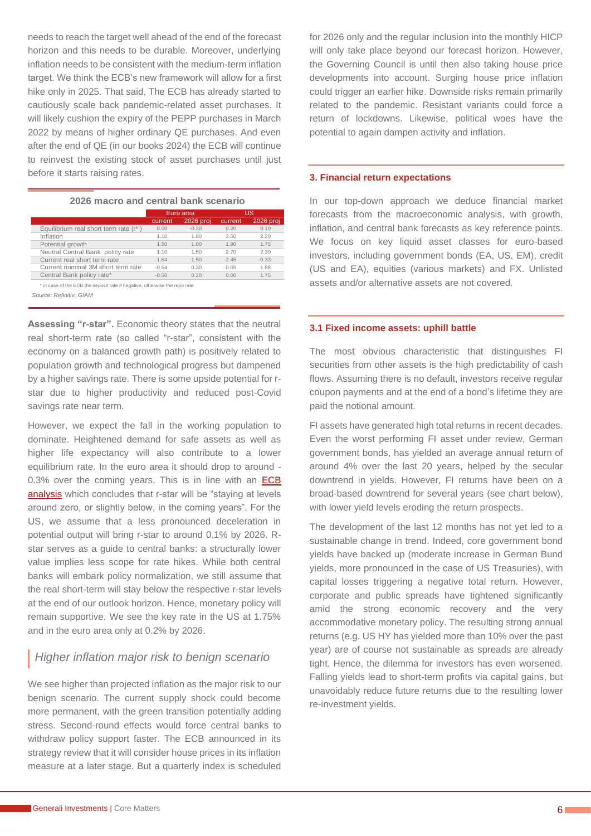needs to reach the target well ahead of the end of the forecast horizon and this needs to be durable. Moreover, underlying inflation needs to be consistent with the medium-term inflation target. We think the ECB's new framework will allow for a first hike only in 2025. That said, The ECB has already started to cautiously scale back pandemic-related asset purchases. It will likely cushion the expiry of the PEPP purchases in March 2022 by means of higher ordinary QE purchases. And even after the end of QE (in our books 2024) the ECB will continue to reinvest the existing stock of asset purchases until just before it starts raising rates.

**2026 macro and central bank scenario**

|                                                                            | Euro area |           |         | US.       |
|----------------------------------------------------------------------------|-----------|-----------|---------|-----------|
|                                                                            | current   | 2026 proj | current | 2026 proj |
| Equilibrium real short term rate (r*)                                      | 0.00      | $-0.30$   | 0.20    | 0.10      |
| Inflation                                                                  | 1.10      | 1.80      | 2.50    | 2.20      |
| Potential growth                                                           | 1.50      | 1.00      | 1.90    | 1.75      |
| Neutral Central Bank policy rate                                           | 1.10      | 1.50      | 2.70    | 2.30      |
| Current real short term rate                                               | $-1.64$   | $-1.50$   | $-2.45$ | $-0.33$   |
| Current nominal 3M short term rate                                         | $-0.54$   | 0.30      | 0.05    | 1.88      |
| Central Bank policy rate*                                                  | $-0.50$   | 0.20      | 0.00    | 1.75      |
| * in case of the ECB the deposit rate if negative, otherwise the repo rate |           |           |         |           |
| Source: Refinitiv, GIAM                                                    |           |           |         |           |

**Assessing "r-star".** Economic theory states that the neutral real short-term rate (so called "r-star", consistent with the economy on a balanced growth path) is positively related to population growth and technological progress but dampened by a higher savings rate. There is some upside potential for rstar due to higher productivity and reduced post-Covid savings rate near term.

However, we expect the fall in the working population to dominate. Heightened demand for safe assets as well as higher life expectancy will also contribute to a lower equilibrium rate. In the euro area it should drop to around - 0.3% over the coming years. This is in line with an **ECB** [analysis](https://www.ecb.europa.eu/pub/pdf/scpops/ecb.op217.en.pdf?form=MY01SV&OCID=MY01SV) which concludes that r-star will be "staying at levels around zero, or slightly below, in the coming years". For the US, we assume that a less pronounced deceleration in potential output will bring r-star to around 0.1% by 2026. Rstar serves as a guide to central banks: a structurally lower value implies less scope for rate hikes. While both central banks will embark policy normalization, we still assume that the real short-term will stay below the respective r-star levels at the end of our outlook horizon. Hence, monetary policy will remain supportive. We see the key rate in the US at 1.75% and in the euro area only at 0.2% by 2026.

### *Higher inflation major risk to benign scenario*

We see higher than projected inflation as the major risk to our benign scenario. The current supply shock could become more permanent, with the green transition potentially adding stress. Second-round effects would force central banks to withdraw policy support faster. The ECB announced in its strategy review that it will consider house prices in its inflation measure at a later stage. But a quarterly index is scheduled

for 2026 only and the regular inclusion into the monthly HICP will only take place beyond our forecast horizon. However, the Governing Council is until then also taking house price developments into account. Surging house price inflation could trigger an earlier hike. Downside risks remain primarily related to the pandemic. Resistant variants could force a return of lockdowns. Likewise, political woes have the potential to again dampen activity and inflation.

#### <span id="page-5-0"></span>**3. Financial return expectations**

In our top-down approach we deduce financial market forecasts from the macroeconomic analysis, with growth, inflation, and central bank forecasts as key reference points. We focus on key liquid asset classes for euro-based investors, including government bonds (EA, US, EM), credit (US and EA), equities (various markets) and FX. Unlisted assets and/or alternative assets are not covered.

#### <span id="page-5-1"></span>**3.1 Fixed income assets: uphill battle**

The most obvious characteristic that distinguishes FI securities from other assets is the high predictability of cash flows. Assuming there is no default, investors receive regular coupon payments and at the end of a bond's lifetime they are paid the notional amount.

FI assets have generated high total returns in recent decades. Even the worst performing FI asset under review, German government bonds, has yielded an average annual return of around 4% over the last 20 years, helped by the secular downtrend in yields. However, FI returns have been on a broad-based downtrend for several years (see chart below), with lower yield levels eroding the return prospects.

The development of the last 12 months has not yet led to a sustainable change in trend. Indeed, core government bond yields have backed up (moderate increase in German Bund yields, more pronounced in the case of US Treasuries), with capital losses triggering a negative total return. However, corporate and public spreads have tightened significantly amid the strong economic recovery and the very accommodative monetary policy. The resulting strong annual returns (e.g. US HY has yielded more than 10% over the past year) are of course not sustainable as spreads are already tight. Hence, the dilemma for investors has even worsened. Falling yields lead to short-term profits via capital gains, but unavoidably reduce future returns due to the resulting lower re-investment yields.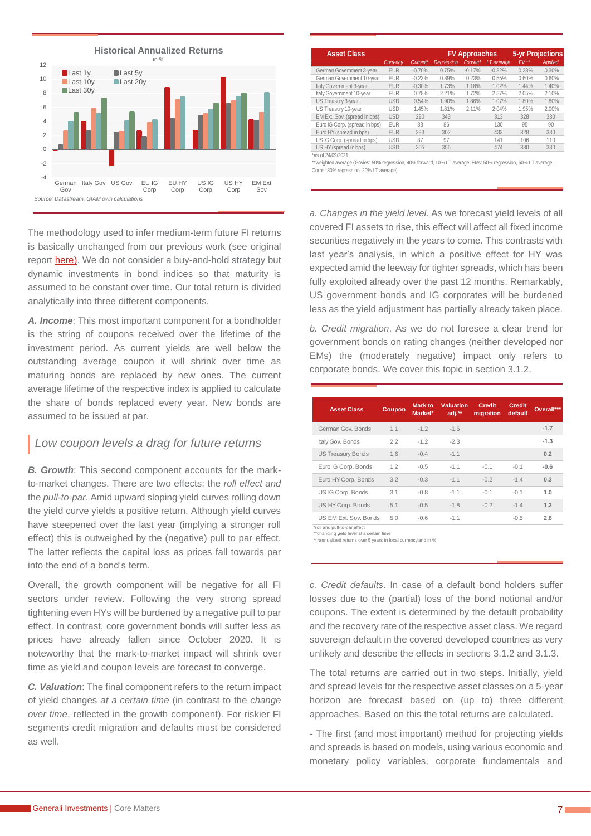

The methodology used to infer medium-term future FI returns is basically unchanged from our previous work (see original report [here\)](https://www.generali-investments.com/global/en/institutional/article/investment-returns-a-5-year-perspective). We do not consider a buy-and-hold strategy but dynamic investments in bond indices so that maturity is assumed to be constant over time. Our total return is divided analytically into three different components.

*A. Income*: This most important component for a bondholder is the string of coupons received over the lifetime of the investment period. As current yields are well below the outstanding average coupon it will shrink over time as maturing bonds are replaced by new ones. The current average lifetime of the respective index is applied to calculate the share of bonds replaced every year. New bonds are assumed to be issued at par.

#### *Low coupon levels a drag for future returns*

*B. Growth*: This second component accounts for the markto-market changes. There are two effects: the *roll effect and* the *pull-to-par*. Amid upward sloping yield curves rolling down the yield curve yields a positive return. Although yield curves have steepened over the last year (implying a stronger roll effect) this is outweighed by the (negative) pull to par effect. The latter reflects the capital loss as prices fall towards par into the end of a bond's term.

Overall, the growth component will be negative for all FI sectors under review. Following the very strong spread tightening even HYs will be burdened by a negative pull to par effect. In contrast, core government bonds will suffer less as prices have already fallen since October 2020. It is noteworthy that the mark-to-market impact will shrink over time as yield and coupon levels are forecast to converge.

*C. Valuation*: The final component refers to the return impact of yield changes *at a certain time* (in contrast to the *change over time*, reflected in the growth component). For riskier FI segments credit migration and defaults must be considered as well.

| <b>Asset Class</b>            |            |          |            | <b>FV Approaches</b> |            | <b>5-yr Projections</b> |                |
|-------------------------------|------------|----------|------------|----------------------|------------|-------------------------|----------------|
|                               | Currency   | Current* | Rearession | Forward              | LT average | $FV$ **                 | <b>Applied</b> |
| German Government 3-year      | <b>EUR</b> | $-0.70%$ | 0.75%      | $-0.17%$             | $-0.32%$   | 0.28%                   | 0.30%          |
| German Government 10-year     | <b>EUR</b> | $-0.23%$ | 0.89%      | 0.23%                | 0.55%      | 0.60%                   | 0.60%          |
| Italy Government 3-year       | <b>EUR</b> | $-0.30%$ | 1.73%      | 1.18%                | 1.02%      | 1.44%                   | 1.40%          |
| Italy Government 10-year      | <b>EUR</b> | 0.78%    | 2.21%      | 1.72%                | 2.57%      | 2.05%                   | 2.10%          |
| US Treasury 3-year            | <b>USD</b> | 0.54%    | 1.90%      | 1.86%                | 1.07%      | 1.80%                   | 1.80%          |
| US Treasury 10-year           | <b>USD</b> | 1.45%    | 1.81%      | 2.11%                | 2.04%      | 1.95%                   | 2.00%          |
| EM Ext. Gov. (spread in bps)  | <b>USD</b> | 290      | 343        |                      | 313        | 328                     | 330            |
| Euro IG Corp. (spread in bps) | <b>EUR</b> | 83       | 86         |                      | 130        | 95                      | 90             |
| Euro HY (spread in bps)       | <b>EUR</b> | 293      | 302        |                      | 433        | 328                     | 330            |
| US IG Corp. (spread in bps)   | <b>USD</b> | 87       | 97         |                      | 141        | 106                     | 110            |
| US HY (spread in bps)         | <b>USD</b> | 305      | 356        |                      | 474        | 380                     | 380            |

\*\*weighted average (Govies: 50% regression, 40% forward, 10% LT average, EMs: 50% regression, 50% LT average, Corps: 80% regression, 20% LT average)

*a. Changes in the yield level*. As we forecast yield levels of all covered FI assets to rise, this effect will affect all fixed income securities negatively in the years to come. This contrasts with last year's analysis, in which a positive effect for HY was expected amid the leeway for tighter spreads, which has been fully exploited already over the past 12 months. Remarkably, US government bonds and IG corporates will be burdened less as the yield adjustment has partially already taken place.

*b. Credit migration*. As we do not foresee a clear trend for government bonds on rating changes (neither developed nor EMs) the (moderately negative) impact only refers to corporate bonds. We cover this topic in section 3.1.2.

| <b>Asset Class</b>       | Coupon | Mark to<br>Market* | <b>Valuation</b><br>adj.** | <b>Credit</b><br>migration | <b>Credit</b><br>default | Overall*** |
|--------------------------|--------|--------------------|----------------------------|----------------------------|--------------------------|------------|
| German Gov. Bonds        | 1.1    | $-1.2$             | $-1.6$                     |                            |                          | $-1.7$     |
| Italy Gov. Bonds         | 2.2    | $-1.2$             | $-2.3$                     |                            |                          | $-1.3$     |
| <b>US Treasury Bonds</b> | 1.6    | $-0.4$             | $-1.1$                     |                            |                          | 0.2        |
| Euro IG Corp. Bonds      | 1.2    | $-0.5$             | $-1.1$                     | $-0.1$                     | $-0.1$                   | $-0.6$     |
| Euro HY Corp. Bonds      | 3.2    | $-0.3$             | $-1.1$                     | $-0.2$                     | $-1.4$                   | 0.3        |
| US IG Corp. Bonds        | 3.1    | $-0.8$             | $-1.1$                     | $-0.1$                     | $-0.1$                   | 1.0        |
| US HY Corp. Bonds        | 5.1    | $-0.5$             | $-1.8$                     | $-0.2$                     | $-1.4$                   | 1.2        |
| US EM Ext. Sov. Bonds    | 5.0    | $-0.6$             | $-1.1$                     |                            | $-0.5$                   | 2.8        |
|                          |        |                    |                            |                            |                          |            |

\*roll and pull-to-par effect \*\*changing yield level at a certain time

,<br>ed returns over 5 years in local currency and in %

*c. Credit defaults*. In case of a default bond holders suffer losses due to the (partial) loss of the bond notional and/or coupons. The extent is determined by the default probability and the recovery rate of the respective asset class. We regard sovereign default in the covered developed countries as very unlikely and describe the effects in sections 3.1.2 and 3.1.3.

The total returns are carried out in two steps. Initially, yield and spread levels for the respective asset classes on a 5-year horizon are forecast based on (up to) three different approaches. Based on this the total returns are calculated.

- The first (and most important) method for projecting yields and spreads is based on models, using various economic and monetary policy variables, corporate fundamentals and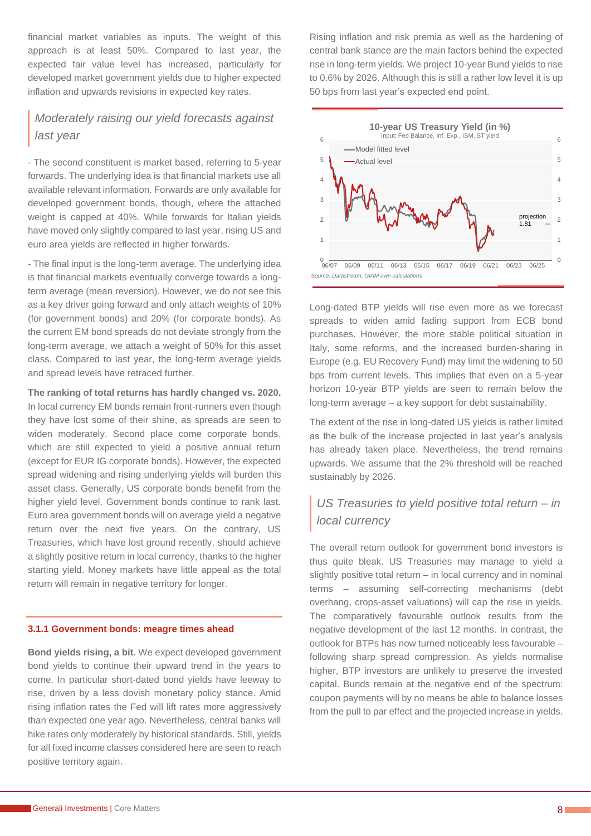financial market variables as inputs. The weight of this approach is at least 50%. Compared to last year, the expected fair value level has increased, particularly for developed market government yields due to higher expected inflation and upwards revisions in expected key rates.

## *Moderately raising our yield forecasts against last year*

- The second constituent is market based, referring to 5-year forwards. The underlying idea is that financial markets use all available relevant information. Forwards are only available for developed government bonds, though, where the attached weight is capped at 40%. While forwards for Italian yields have moved only slightly compared to last year, rising US and euro area yields are reflected in higher forwards.

- The final input is the long-term average. The underlying idea is that financial markets eventually converge towards a longterm average (mean reversion). However, we do not see this as a key driver going forward and only attach weights of 10% (for government bonds) and 20% (for corporate bonds). As the current EM bond spreads do not deviate strongly from the long-term average, we attach a weight of 50% for this asset class. Compared to last year, the long-term average yields and spread levels have retraced further.

**The ranking of total returns has hardly changed vs. 2020.** In local currency EM bonds remain front-runners even though

they have lost some of their shine, as spreads are seen to widen moderately. Second place come corporate bonds, which are still expected to yield a positive annual return (except for EUR IG corporate bonds). However, the expected spread widening and rising underlying yields will burden this asset class. Generally, US corporate bonds benefit from the higher yield level. Government bonds continue to rank last. Euro area government bonds will on average yield a negative return over the next five years. On the contrary, US Treasuries, which have lost ground recently, should achieve a slightly positive return in local currency, thanks to the higher starting yield. Money markets have little appeal as the total return will remain in negative territory for longer.

#### <span id="page-7-0"></span>**3.1.1 Government bonds: meagre times ahead**

**Bond yields rising, a bit.** We expect developed government bond yields to continue their upward trend in the years to come. In particular short-dated bond yields have leeway to rise, driven by a less dovish monetary policy stance. Amid rising inflation rates the Fed will lift rates more aggressively than expected one year ago. Nevertheless, central banks will hike rates only moderately by historical standards. Still, yields for all fixed income classes considered here are seen to reach positive territory again.

Rising inflation and risk premia as well as the hardening of central bank stance are the main factors behind the expected rise in long-term yields. We project 10-year Bund yields to rise to 0.6% by 2026. Although this is still a rather low level it is up 50 bps from last year's expected end point.



Long-dated BTP yields will rise even more as we forecast spreads to widen amid fading support from ECB bond purchases. However, the more stable political situation in Italy, some reforms, and the increased burden-sharing in Europe (e.g. EU Recovery Fund) may limit the widening to 50 bps from current levels. This implies that even on a 5-year horizon 10-year BTP yields are seen to remain below the long-term average – a key support for debt sustainability.

The extent of the rise in long-dated US yields is rather limited as the bulk of the increase projected in last year's analysis has already taken place. Nevertheless, the trend remains upwards. We assume that the 2% threshold will be reached sustainably by 2026.

# *US Treasuries to yield positive total return – in local currency*

The overall return outlook for government bond investors is thus quite bleak. US Treasuries may manage to yield a slightly positive total return – in local currency and in nominal terms – assuming self-correcting mechanisms (debt overhang, crops-asset valuations) will cap the rise in yields. The comparatively favourable outlook results from the negative development of the last 12 months. In contrast, the outlook for BTPs has now turned noticeably less favourable – following sharp spread compression. As yields normalise higher, BTP investors are unlikely to preserve the invested capital. Bunds remain at the negative end of the spectrum: coupon payments will by no means be able to balance losses from the pull to par effect and the projected increase in yields.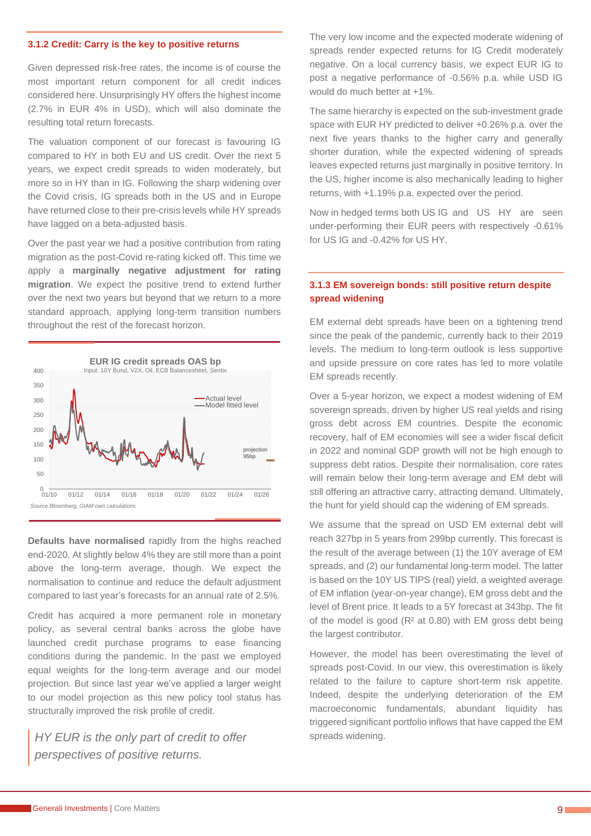#### <span id="page-8-0"></span>**3.1.2 Credit: Carry is the key to positive returns**

Given depressed risk-free rates, the income is of course the most important return component for all credit indices considered here. Unsurprisingly HY offers the highest income (2.7% in EUR 4% in USD), which will also dominate the resulting total return forecasts.

The valuation component of our forecast is favouring IG compared to HY in both EU and US credit. Over the next 5 years, we expect credit spreads to widen moderately, but more so in HY than in IG. Following the sharp widening over the Covid crisis, IG spreads both in the US and in Europe have returned close to their pre-crisis levels while HY spreads have lagged on a beta-adjusted basis.

Over the past year we had a positive contribution from rating migration as the post-Covid re-rating kicked off. This time we apply a **marginally negative adjustment for rating migration**. We expect the positive trend to extend further over the next two years but beyond that we return to a more standard approach, applying long-term transition numbers throughout the rest of the forecast horizon.



**Defaults have normalised** rapidly from the highs reached end-2020. At slightly below 4% they are still more than a point above the long-term average, though. We expect the normalisation to continue and reduce the default adjustment compared to last year's forecasts for an annual rate of 2.5%.

Credit has acquired a more permanent role in monetary policy, as several central banks across the globe have launched credit purchase programs to ease financing conditions during the pandemic. In the past we employed equal weights for the long-term average and our model projection. But since last year we've applied a larger weight to our model projection as this new policy tool status has structurally improved the risk profile of credit.

*HY EUR is the only part of credit to offer perspectives of positive returns.*

The very low income and the expected moderate widening of spreads render expected returns for IG Credit moderately negative. On a local currency basis, we expect EUR IG to post a negative performance of -0.56% p.a. while USD IG would do much better at +1%.

The same hierarchy is expected on the sub-investment grade space with EUR HY predicted to deliver +0.26% p.a. over the next five years thanks to the higher carry and generally shorter duration, while the expected widening of spreads leaves expected returns just marginally in positive territory. In the US, higher income is also mechanically leading to higher returns, with +1.19% p.a. expected over the period.

Now in hedged terms both US IG and US HY are seen under-performing their EUR peers with respectively -0.61% for US IG and -0.42% for US HY.

#### <span id="page-8-1"></span>**3.1.3 EM sovereign bonds: still positive return despite spread widening**

EM external debt spreads have been on a tightening trend since the peak of the pandemic, currently back to their 2019 levels. The medium to long-term outlook is less supportive and upside pressure on core rates has led to more volatile EM spreads recently.

Over a 5-year horizon, we expect a modest widening of EM sovereign spreads, driven by higher US real yields and rising gross debt across EM countries. Despite the economic recovery, half of EM economies will see a wider fiscal deficit in 2022 and nominal GDP growth will not be high enough to suppress debt ratios. Despite their normalisation, core rates will remain below their long-term average and EM debt will still offering an attractive carry, attracting demand. Ultimately, the hunt for yield should cap the widening of EM spreads.

We assume that the spread on USD EM external debt will reach 327bp in 5 years from 299bp currently. This forecast is the result of the average between (1) the 10Y average of EM spreads, and (2) our fundamental long-term model. The latter is based on the 10Y US TIPS (real) yield, a weighted average of EM inflation (year-on-year change), EM gross debt and the level of Brent price. It leads to a 5Y forecast at 343bp. The fit of the model is good (R² at 0.80) with EM gross debt being the largest contributor.

However, the model has been overestimating the level of spreads post-Covid. In our view, this overestimation is likely related to the failure to capture short-term risk appetite. Indeed, despite the underlying deterioration of the EM macroeconomic fundamentals, abundant liquidity has triggered significant portfolio inflows that have capped the EM spreads widening.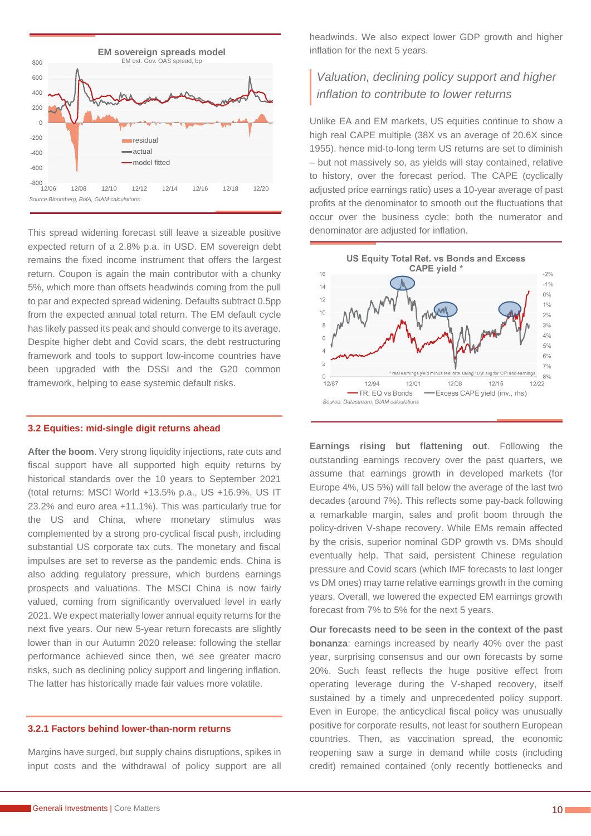

This spread widening forecast still leave a sizeable positive expected return of a 2.8% p.a. in USD. EM sovereign debt remains the fixed income instrument that offers the largest return. Coupon is again the main contributor with a chunky 5%, which more than offsets headwinds coming from the pull to par and expected spread widening. Defaults subtract 0.5pp from the expected annual total return. The EM default cycle has likely passed its peak and should converge to its average. Despite higher debt and Covid scars, the debt restructuring framework and tools to support low-income countries have been upgraded with the DSSI and the G20 common framework, helping to ease systemic default risks.

#### <span id="page-9-0"></span>**3.2 Equities: mid-single digit returns ahead**

**After the boom**. Very strong liquidity injections, rate cuts and fiscal support have all supported high equity returns by historical standards over the 10 years to September 2021 (total returns: MSCI World +13.5% p.a., US +16.9%, US IT 23.2% and euro area +11.1%). This was particularly true for the US and China, where monetary stimulus was complemented by a strong pro-cyclical fiscal push, including substantial US corporate tax cuts. The monetary and fiscal impulses are set to reverse as the pandemic ends. China is also adding regulatory pressure, which burdens earnings prospects and valuations. The MSCI China is now fairly valued, coming from significantly overvalued level in early 2021. We expect materially lower annual equity returns for the next five years. Our new 5-year return forecasts are slightly lower than in our Autumn 2020 release: following the stellar performance achieved since then, we see greater macro risks, such as declining policy support and lingering inflation. The latter has historically made fair values more volatile.

#### <span id="page-9-1"></span>**3.2.1 Factors behind lower-than-norm returns**

Margins have surged, but supply chains disruptions, spikes in input costs and the withdrawal of policy support are all headwinds. We also expect lower GDP growth and higher inflation for the next 5 years.

# *Valuation, declining policy support and higher inflation to contribute to lower returns*

Unlike EA and EM markets, US equities continue to show a high real CAPE multiple (38X vs an average of 20.6X since 1955). hence mid-to-long term US returns are set to diminish – but not massively so, as yields will stay contained, relative to history, over the forecast period. The CAPE (cyclically adjusted price earnings ratio) uses a 10-year average of past profits at the denominator to smooth out the fluctuations that occur over the business cycle; both the numerator and denominator are adjusted for inflation.



**Earnings rising but flattening out**. Following the outstanding earnings recovery over the past quarters, we assume that earnings growth in developed markets (for Europe 4%, US 5%) will fall below the average of the last two decades (around 7%). This reflects some pay-back following a remarkable margin, sales and profit boom through the policy-driven V-shape recovery. While EMs remain affected by the crisis, superior nominal GDP growth vs. DMs should eventually help. That said, persistent Chinese regulation pressure and Covid scars (which IMF forecasts to last longer vs DM ones) may tame relative earnings growth in the coming years. Overall, we lowered the expected EM earnings growth forecast from 7% to 5% for the next 5 years.

**Our forecasts need to be seen in the context of the past bonanza**: earnings increased by nearly 40% over the past year, surprising consensus and our own forecasts by some 20%. Such feast reflects the huge positive effect from operating leverage during the V-shaped recovery, itself sustained by a timely and unprecedented policy support. Even in Europe, the anticyclical fiscal policy was unusually positive for corporate results, not least for southern European countries. Then, as vaccination spread, the economic reopening saw a surge in demand while costs (including credit) remained contained (only recently bottlenecks and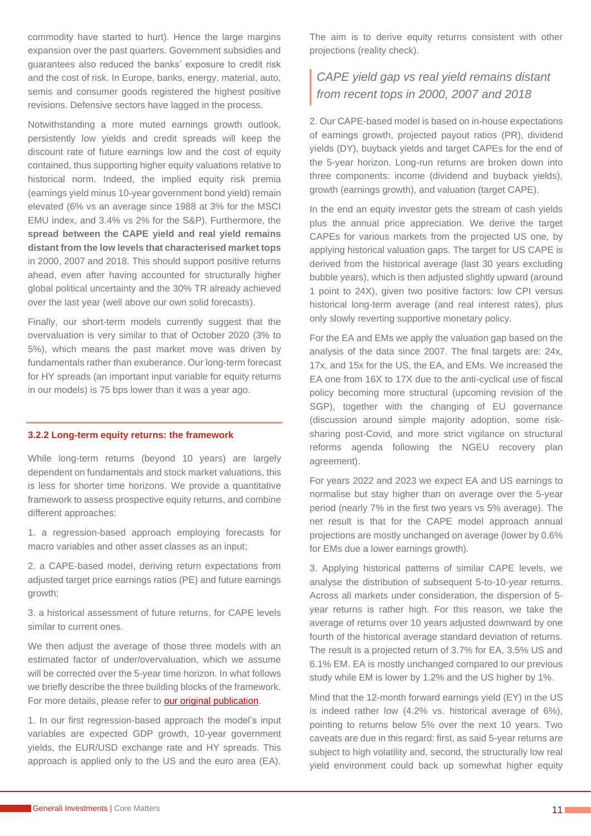commodity have started to hurt). Hence the large margins expansion over the past quarters. Government subsidies and guarantees also reduced the banks' exposure to credit risk and the cost of risk. In Europe, banks, energy, material, auto, semis and consumer goods registered the highest positive revisions. Defensive sectors have lagged in the process.

Notwithstanding a more muted earnings growth outlook, persistently low yields and credit spreads will keep the discount rate of future earnings low and the cost of equity contained, thus supporting higher equity valuations relative to historical norm. Indeed, the implied equity risk premia (earnings yield minus 10-year government bond yield) remain elevated (6% vs an average since 1988 at 3% for the MSCI EMU index, and 3.4% vs 2% for the S&P). Furthermore, the **spread between the CAPE yield and real yield remains distant from the low levels that characterised market tops** in 2000, 2007 and 2018. This should support positive returns ahead, even after having accounted for structurally higher global political uncertainty and the 30% TR already achieved over the last year (well above our own solid forecasts).

Finally, our short-term models currently suggest that the overvaluation is very similar to that of October 2020 (3% to 5%), which means the past market move was driven by fundamentals rather than exuberance. Our long-term forecast for HY spreads (an important input variable for equity returns in our models) is 75 bps lower than it was a year ago.

#### <span id="page-10-0"></span>**3.2.2 Long-term equity returns: the framework**

While long-term returns (beyond 10 years) are largely dependent on fundamentals and stock market valuations, this is less for shorter time horizons. We provide a quantitative framework to assess prospective equity returns, and combine different approaches:

1. a regression-based approach employing forecasts for macro variables and other asset classes as an input;

2. a CAPE-based model, deriving return expectations from adjusted target price earnings ratios (PE) and future earnings growth;

3. a historical assessment of future returns, for CAPE levels similar to current ones.

We then adjust the average of those three models with an estimated factor of under/overvaluation, which we assume will be corrected over the 5-year time horizon. In what follows we briefly describe the three building blocks of the framework. For more details, please refer to [our original publication.](https://www.generali-investments.com/uploads/2020/03/61644b954766455325da488031c75076/corematters_5y_returns.pdf)

1. In our first regression-based approach the model's input variables are expected GDP growth, 10-year government yields, the EUR/USD exchange rate and HY spreads. This approach is applied only to the US and the euro area (EA).

The aim is to derive equity returns consistent with other projections (reality check).

# *CAPE yield gap vs real yield remains distant from recent tops in 2000, 2007 and 2018*

2. Our CAPE-based model is based on in-house expectations of earnings growth, projected payout ratios (PR), dividend yields (DY), buyback yields and target CAPEs for the end of the 5-year horizon. Long-run returns are broken down into three components: income (dividend and buyback yields), growth (earnings growth), and valuation (target CAPE).

In the end an equity investor gets the stream of cash yields plus the annual price appreciation. We derive the target CAPEs for various markets from the projected US one, by applying historical valuation gaps. The target for US CAPE is derived from the historical average (last 30 years excluding bubble years), which is then adjusted slightly upward (around 1 point to 24X), given two positive factors: low CPI versus historical long-term average (and real interest rates), plus only slowly reverting supportive monetary policy.

For the EA and EMs we apply the valuation gap based on the analysis of the data since 2007. The final targets are: 24x, 17x, and 15x for the US, the EA, and EMs. We increased the EA one from 16X to 17X due to the anti-cyclical use of fiscal policy becoming more structural (upcoming revision of the SGP), together with the changing of EU governance (discussion around simple majority adoption, some risksharing post-Covid, and more strict vigilance on structural reforms agenda following the NGEU recovery plan agreement).

For years 2022 and 2023 we expect EA and US earnings to normalise but stay higher than on average over the 5-year period (nearly 7% in the first two years vs 5% average). The net result is that for the CAPE model approach annual projections are mostly unchanged on average (lower by 0.6% for EMs due a lower earnings growth).

3. Applying historical patterns of similar CAPE levels, we analyse the distribution of subsequent 5-to-10-year returns. Across all markets under consideration, the dispersion of 5 year returns is rather high. For this reason, we take the average of returns over 10 years adjusted downward by one fourth of the historical average standard deviation of returns. The result is a projected return of 3.7% for EA, 3.5% US and 6.1% EM. EA is mostly unchanged compared to our previous study while EM is lower by 1.2% and the US higher by 1%.

Mind that the 12-month forward earnings yield (EY) in the US is indeed rather low (4.2% vs. historical average of 6%), pointing to returns below 5% over the next 10 years. Two caveats are due in this regard: first, as said 5-year returns are subject to high volatility and, second, the structurally low real yield environment could back up somewhat higher equity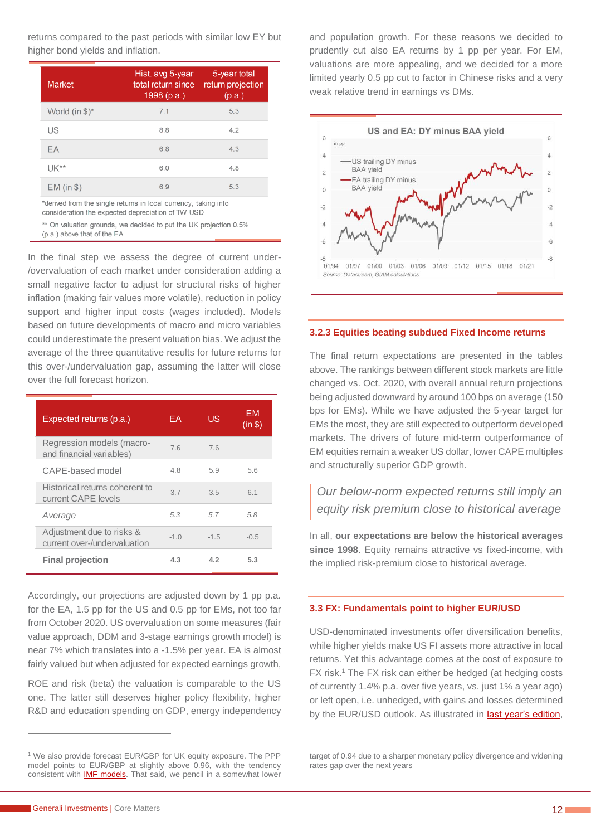returns compared to the past periods with similar low EY but higher bond yields and inflation.

| <b>Market</b>              | Hist. avg 5-year<br>total return since<br>1998(p.a.) | 5-year total<br>return projection<br>(p.a.) |
|----------------------------|------------------------------------------------------|---------------------------------------------|
| World (in $\frac{1}{2}$ )* | 7.1                                                  | 5.3                                         |
| US                         | 8.8                                                  | 4.2                                         |
| EA                         | 6.8                                                  | 4.3                                         |
| $1$ JK $**$                | 6.0                                                  | 4.8                                         |
| $EM (in $)$                | 6.9                                                  | 5.3                                         |

\*derived from the single returns in local currency, taking into consideration the expected depreciation of TW USD

\*\* On valuation grounds, we decided to put the UK projection 0.5% (p.a.) above that of the EA

In the final step we assess the degree of current under- /overvaluation of each market under consideration adding a small negative factor to adjust for structural risks of higher inflation (making fair values more volatile), reduction in policy support and higher input costs (wages included). Models based on future developments of macro and micro variables could underestimate the present valuation bias. We adjust the average of the three quantitative results for future returns for this over-/undervaluation gap, assuming the latter will close over the full forecast horizon.

| Expected returns (p.a.)                                   | FΑ.    | US     | FМ<br>(in \$) |
|-----------------------------------------------------------|--------|--------|---------------|
| Regression models (macro-<br>and financial variables)     | 76     | 76     |               |
| CAPE-based model                                          | 4.8    | 5.9    | 56            |
| Historical returns coherent to<br>current CAPE levels     | 3.7    | 3.5    | 6.1           |
| Average                                                   | 5.3    | 57     | 5.8           |
| Adjustment due to risks &<br>current over-/undervaluation | $-1.0$ | $-1.5$ | $-0.5$        |
| <b>Final projection</b>                                   | 4.3    | 42     | 5.3           |

Accordingly, our projections are adjusted down by 1 pp p.a. for the EA, 1.5 pp for the US and 0.5 pp for EMs, not too far from October 2020. US overvaluation on some measures (fair value approach, DDM and 3-stage earnings growth model) is near 7% which translates into a -1.5% per year. EA is almost fairly valued but when adjusted for expected earnings growth,

ROE and risk (beta) the valuation is comparable to the US one. The latter still deserves higher policy flexibility, higher R&D and education spending on GDP, energy independency and population growth. For these reasons we decided to prudently cut also EA returns by 1 pp per year. For EM, valuations are more appealing, and we decided for a more limited yearly 0.5 pp cut to factor in Chinese risks and a very weak relative trend in earnings vs DMs.



#### <span id="page-11-0"></span>**3.2.3 Equities beating subdued Fixed Income returns**

The final return expectations are presented in the tables above. The rankings between different stock markets are little changed vs. Oct. 2020, with overall annual return projections being adjusted downward by around 100 bps on average (150 bps for EMs). While we have adjusted the 5-year target for EMs the most, they are still expected to outperform developed markets. The drivers of future mid-term outperformance of EM equities remain a weaker US dollar, lower CAPE multiples and structurally superior GDP growth.

## *Our below-norm expected returns still imply an equity risk premium close to historical average*

In all, **our expectations are below the historical averages since 1998**. Equity remains attractive vs fixed-income, with the implied risk-premium close to historical average.

#### <span id="page-11-1"></span>**3.3 FX: Fundamentals point to higher EUR/USD**

USD-denominated investments offer diversification benefits, while higher yields make US FI assets more attractive in local returns. Yet this advantage comes at the cost of exposure to FX risk.<sup>1</sup> The FX risk can either be hedged (at hedging costs of currently 1.4% p.a. over five years, vs. just 1% a year ago) or left open, i.e. unhedged, with gains and losses determined by the EUR/USD outlook. As illustrated in [last year's edition,](https://www.generali-investments.com/global/en/institutional/article/life-after-covid-5-year-total-return-forecasts)

target of 0.94 due to a sharper monetary policy divergence and widening rates gap over the next years

<sup>1</sup> We also provide forecast EUR/GBP for UK equity exposure. The PPP model points to EUR/GBP at slightly above 0.96, with the tendency consistent with **IMF models**. That said, we pencil in a somewhat lower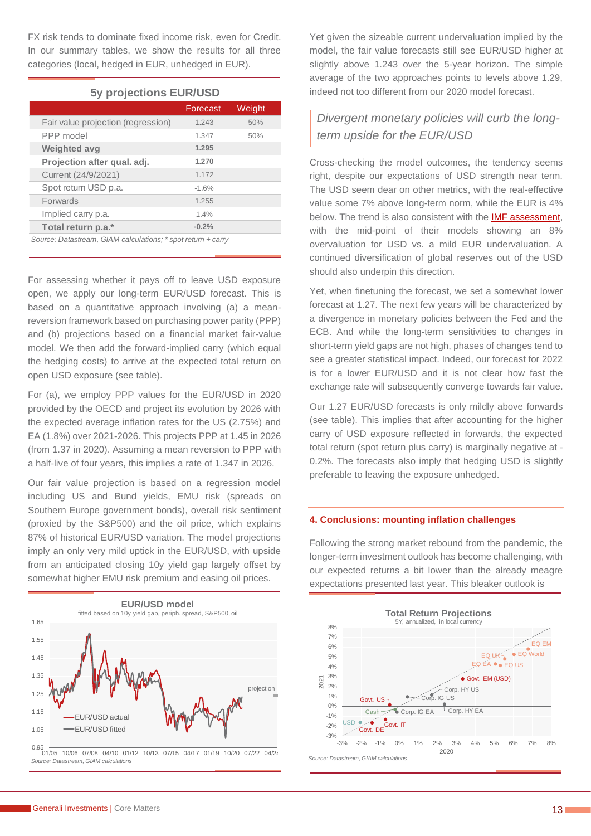FX risk tends to dominate fixed income risk, even for Credit. In our summary tables, we show the results for all three categories (local, hedged in EUR, unhedged in EUR).

#### **5y projections EUR/USD**

|                                    | Forecast | Weight |
|------------------------------------|----------|--------|
| Fair value projection (regression) | 1.243    | 50%    |
| PPP model                          | 1.347    | 50%    |
| <b>Weighted avg</b>                | 1.295    |        |
| Projection after qual. adj.        | 1.270    |        |
| Current (24/9/2021)                | 1.172    |        |
| Spot return USD p.a.               | $-1.6%$  |        |
| <b>Forwards</b>                    | 1.255    |        |
| Implied carry p.a.                 | 1.4%     |        |
| Total return p.a.*                 | $-0.2%$  |        |

*Source: Datastream, GIAM calculations; \* spot return + carry*

For assessing whether it pays off to leave USD exposure open, we apply our long-term EUR/USD forecast. This is based on a quantitative approach involving (a) a meanreversion framework based on purchasing power parity (PPP) and (b) projections based on a financial market fair-value model. We then add the forward-implied carry (which equal the hedging costs) to arrive at the expected total return on open USD exposure (see table).

For (a), we employ PPP values for the EUR/USD in 2020 provided by the OECD and project its evolution by 2026 with the expected average inflation rates for the US (2.75%) and EA (1.8%) over 2021-2026. This projects PPP at 1.45 in 2026 (from 1.37 in 2020). Assuming a mean reversion to PPP with a half-live of four years, this implies a rate of 1.347 in 2026.

Our fair value projection is based on a regression model including US and Bund yields, EMU risk (spreads on Southern Europe government bonds), overall risk sentiment (proxied by the S&P500) and the oil price, which explains 87% of historical EUR/USD variation. The model projections imply an only very mild uptick in the EUR/USD, with upside from an anticipated closing 10y yield gap largely offset by somewhat higher EMU risk premium and easing oil prices.



0.95 01/05 10/06 07/08 04/10 01/12 10/13 07/15 04/17 01/19 10/20 07/22 04/24 *Source: Datastream, GIAM calculations*

Yet given the sizeable current undervaluation implied by the model, the fair value forecasts still see EUR/USD higher at slightly above 1.243 over the 5-year horizon. The simple average of the two approaches points to levels above 1.29, indeed not too different from our 2020 model forecast.

# *Divergent monetary policies will curb the longterm upside for the EUR/USD*

Cross-checking the model outcomes, the tendency seems right, despite our expectations of USD strength near term. The USD seem dear on other metrics, with the real-effective value some 7% above long-term norm, while the EUR is 4% below. The trend is also consistent with the **IMF assessment**, with the mid-point of their models showing an 8% overvaluation for USD vs. a mild EUR undervaluation. A continued diversification of global reserves out of the USD should also underpin this direction.

Yet, when finetuning the forecast, we set a somewhat lower forecast at 1.27. The next few years will be characterized by a divergence in monetary policies between the Fed and the ECB. And while the long-term sensitivities to changes in short-term yield gaps are not high, phases of changes tend to see a greater statistical impact. Indeed, our forecast for 2022 is for a lower EUR/USD and it is not clear how fast the exchange rate will subsequently converge towards fair value.

Our 1.27 EUR/USD forecasts is only mildly above forwards (see table). This implies that after accounting for the higher carry of USD exposure reflected in forwards, the expected total return (spot return plus carry) is marginally negative at - 0.2%. The forecasts also imply that hedging USD is slightly preferable to leaving the exposure unhedged.

#### <span id="page-12-0"></span>**4. Conclusions: mounting inflation challenges**

Following the strong market rebound from the pandemic, the longer-term investment outlook has become challenging, with our expected returns a bit lower than the already meagre expectations presented last year. This bleaker outlook is

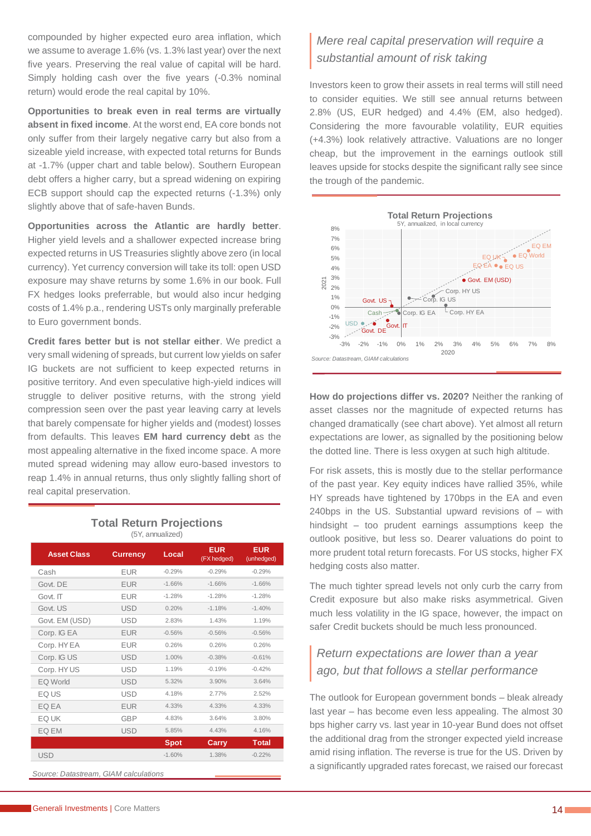compounded by higher expected euro area inflation, which we assume to average 1.6% (vs. 1.3% last year) over the next five years. Preserving the real value of capital will be hard. Simply holding cash over the five years (-0.3% nominal return) would erode the real capital by 10%.

**Opportunities to break even in real terms are virtually absent in fixed income**. At the worst end, EA core bonds not only suffer from their largely negative carry but also from a sizeable yield increase, with expected total returns for Bunds at -1.7% (upper chart and table below). Southern European debt offers a higher carry, but a spread widening on expiring ECB support should cap the expected returns (-1.3%) only slightly above that of safe-haven Bunds.

**Opportunities across the Atlantic are hardly better**. Higher yield levels and a shallower expected increase bring expected returns in US Treasuries slightly above zero (in local currency). Yet currency conversion will take its toll: open USD exposure may shave returns by some 1.6% in our book. Full FX hedges looks preferrable, but would also incur hedging costs of 1.4% p.a., rendering USTs only marginally preferable to Euro government bonds.

**Credit fares better but is not stellar either**. We predict a very small widening of spreads, but current low yields on safer IG buckets are not sufficient to keep expected returns in positive territory. And even speculative high-yield indices will struggle to deliver positive returns, with the strong vield compression seen over the past year leaving carry at levels that barely compensate for higher yields and (modest) losses from defaults. This leaves **EM hard currency debt** as the most appealing alternative in the fixed income space. A more muted spread widening may allow euro-based investors to reap 1.4% in annual returns, thus only slightly falling short of real capital preservation.

#### **Total Return Projections** (5Y, annualized)

| <b>Asset Class</b> | <b>Currency</b> | Local       | <b>EUR</b><br>(FX hedged) | <b>EUR</b><br>(unhedged) |
|--------------------|-----------------|-------------|---------------------------|--------------------------|
| Cash               | <b>EUR</b>      | $-0.29%$    | $-0.29%$                  | $-0.29%$                 |
| Govt. DE           | <b>EUR</b>      | $-1.66%$    | $-1.66%$                  | $-1.66%$                 |
| Govt. IT           | <b>EUR</b>      | $-1.28%$    | $-1.28%$                  | $-1.28%$                 |
| Govt. US           | <b>USD</b>      | 0.20%       | $-1.18%$                  | $-1.40%$                 |
| Govt. EM (USD)     | <b>USD</b>      | 2.83%       | 1.43%                     | 1.19%                    |
| Corp. IG EA        | <b>EUR</b>      | $-0.56%$    | $-0.56%$                  | $-0.56%$                 |
| Corp. HY EA        | <b>EUR</b>      | 0.26%       | 0.26%                     | 0.26%                    |
| Corp. IG US        | <b>USD</b>      | 1.00%       | $-0.38%$                  | $-0.61%$                 |
| Corp. HY US        | <b>USD</b>      | 1.19%       | $-0.19%$                  | $-0.42%$                 |
| <b>EQ World</b>    | <b>USD</b>      | 5.32%       | 3.90%                     | 3.64%                    |
| EQ US              | <b>USD</b>      | 4.18%       | 2.77%                     | 2.52%                    |
| EQ EA              | <b>EUR</b>      | 4.33%       | 4.33%                     | 4.33%                    |
| EQ UK              | <b>GBP</b>      | 4.83%       | 3.64%                     | 3.80%                    |
| EQ EM              | <b>USD</b>      | 5.85%       | 4.43%                     | 4.16%                    |
|                    |                 | <b>Spot</b> | Carry                     | <b>Total</b>             |
| <b>USD</b>         |                 | $-1.60%$    | 1.38%                     | $-0.22%$                 |

*Source: Datastream, GIAM calculations*

# *Mere real capital preservation will require a substantial amount of risk taking*

Investors keen to grow their assets in real terms will still need to consider equities. We still see annual returns between 2.8% (US, EUR hedged) and 4.4% (EM, also hedged). Considering the more favourable volatility, EUR equities (+4.3%) look relatively attractive. Valuations are no longer cheap, but the improvement in the earnings outlook still leaves upside for stocks despite the significant rally see since the trough of the pandemic.



**How do projections differ vs. 2020?** Neither the ranking of asset classes nor the magnitude of expected returns has changed dramatically (see chart above). Yet almost all return expectations are lower, as signalled by the positioning below the dotted line. There is less oxygen at such high altitude.

For risk assets, this is mostly due to the stellar performance of the past year. Key equity indices have rallied 35%, while HY spreads have tightened by 170bps in the EA and even 240bps in the US. Substantial upward revisions of – with hindsight – too prudent earnings assumptions keep the outlook positive, but less so. Dearer valuations do point to more prudent total return forecasts. For US stocks, higher FX hedging costs also matter.

The much tighter spread levels not only curb the carry from Credit exposure but also make risks asymmetrical. Given much less volatility in the IG space, however, the impact on safer Credit buckets should be much less pronounced.

# *Return expectations are lower than a year ago, but that follows a stellar performance*

The outlook for European government bonds – bleak already last year – has become even less appealing. The almost 30 bps higher carry vs. last year in 10-year Bund does not offset the additional drag from the stronger expected yield increase amid rising inflation. The reverse is true for the US. Driven by a significantly upgraded rates forecast, we raised our forecast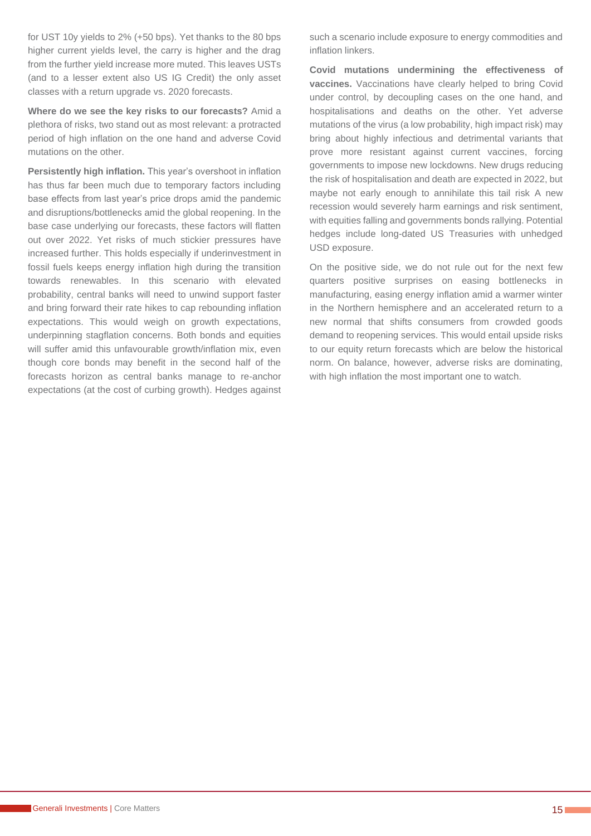for UST 10y yields to 2% (+50 bps). Yet thanks to the 80 bps higher current yields level, the carry is higher and the drag from the further yield increase more muted. This leaves USTs (and to a lesser extent also US IG Credit) the only asset classes with a return upgrade vs. 2020 forecasts.

**Where do we see the key risks to our forecasts?** Amid a plethora of risks, two stand out as most relevant: a protracted period of high inflation on the one hand and adverse Covid mutations on the other.

**Persistently high inflation.** This year's overshoot in inflation has thus far been much due to temporary factors including base effects from last year's price drops amid the pandemic and disruptions/bottlenecks amid the global reopening. In the base case underlying our forecasts, these factors will flatten out over 2022. Yet risks of much stickier pressures have increased further. This holds especially if underinvestment in fossil fuels keeps energy inflation high during the transition towards renewables. In this scenario with elevated probability, central banks will need to unwind support faster and bring forward their rate hikes to cap rebounding inflation expectations. This would weigh on growth expectations, underpinning stagflation concerns. Both bonds and equities will suffer amid this unfavourable growth/inflation mix, even though core bonds may benefit in the second half of the forecasts horizon as central banks manage to re-anchor expectations (at the cost of curbing growth). Hedges against such a scenario include exposure to energy commodities and inflation linkers.

**Covid mutations undermining the effectiveness of vaccines.** Vaccinations have clearly helped to bring Covid under control, by decoupling cases on the one hand, and hospitalisations and deaths on the other. Yet adverse mutations of the virus (a low probability, high impact risk) may bring about highly infectious and detrimental variants that prove more resistant against current vaccines, forcing governments to impose new lockdowns. New drugs reducing the risk of hospitalisation and death are expected in 2022, but maybe not early enough to annihilate this tail risk A new recession would severely harm earnings and risk sentiment, with equities falling and governments bonds rallying. Potential hedges include long-dated US Treasuries with unhedged USD exposure.

On the positive side, we do not rule out for the next few quarters positive surprises on easing bottlenecks in manufacturing, easing energy inflation amid a warmer winter in the Northern hemisphere and an accelerated return to a new normal that shifts consumers from crowded goods demand to reopening services. This would entail upside risks to our equity return forecasts which are below the historical norm. On balance, however, adverse risks are dominating, with high inflation the most important one to watch.